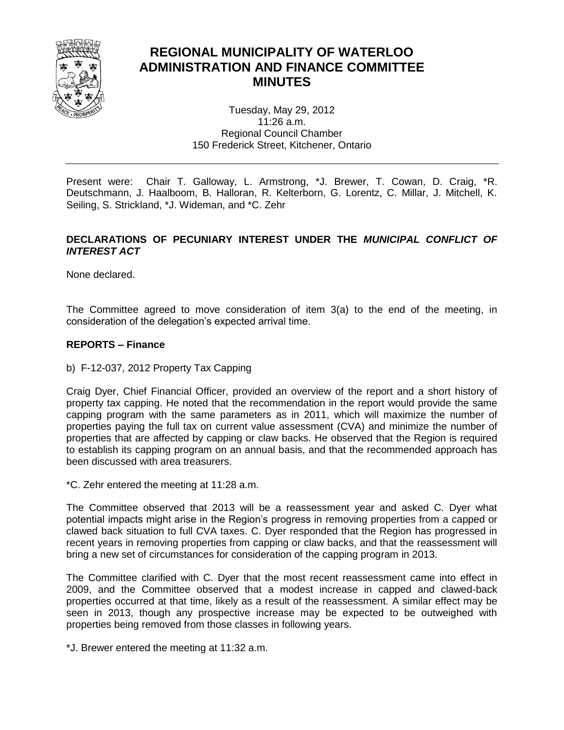

# **REGIONAL MUNICIPALITY OF WATERLOO ADMINISTRATION AND FINANCE COMMITTEE MINUTES**

Tuesday, May 29, 2012 11:26 a.m. Regional Council Chamber 150 Frederick Street, Kitchener, Ontario

Present were: Chair T. Galloway, L. Armstrong, \*J. Brewer, T. Cowan, D. Craig, \*R. Deutschmann, J. Haalboom, B. Halloran, R. Kelterborn, G. Lorentz, C. Millar, J. Mitchell, K. Seiling, S. Strickland, \*J. Wideman, and \*C. Zehr

# **DECLARATIONS OF PECUNIARY INTEREST UNDER THE** *MUNICIPAL CONFLICT OF INTEREST ACT*

None declared.

The Committee agreed to move consideration of item 3(a) to the end of the meeting, in consideration of the delegation's expected arrival time.

## **REPORTS – Finance**

b) F-12-037, 2012 Property Tax Capping

Craig Dyer, Chief Financial Officer, provided an overview of the report and a short history of property tax capping. He noted that the recommendation in the report would provide the same capping program with the same parameters as in 2011, which will maximize the number of properties paying the full tax on current value assessment (CVA) and minimize the number of properties that are affected by capping or claw backs. He observed that the Region is required to establish its capping program on an annual basis, and that the recommended approach has been discussed with area treasurers.

\*C. Zehr entered the meeting at 11:28 a.m.

The Committee observed that 2013 will be a reassessment year and asked C. Dyer what potential impacts might arise in the Region's progress in removing properties from a capped or clawed back situation to full CVA taxes. C. Dyer responded that the Region has progressed in recent years in removing properties from capping or claw backs, and that the reassessment will bring a new set of circumstances for consideration of the capping program in 2013.

The Committee clarified with C. Dyer that the most recent reassessment came into effect in 2009, and the Committee observed that a modest increase in capped and clawed-back properties occurred at that time, likely as a result of the reassessment. A similar effect may be seen in 2013, though any prospective increase may be expected to be outweighed with properties being removed from those classes in following years.

\*J. Brewer entered the meeting at 11:32 a.m.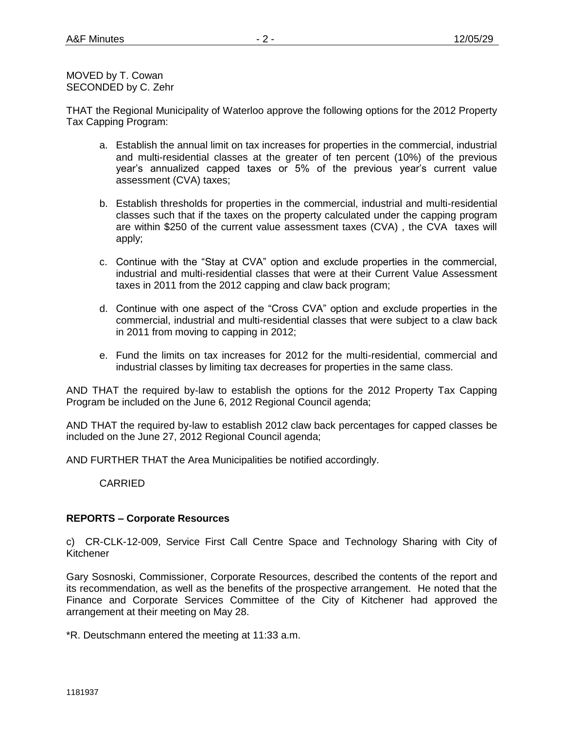MOVED by T. Cowan SECONDED by C. Zehr

THAT the Regional Municipality of Waterloo approve the following options for the 2012 Property Tax Capping Program:

- a. Establish the annual limit on tax increases for properties in the commercial, industrial and multi-residential classes at the greater of ten percent (10%) of the previous year's annualized capped taxes or 5% of the previous year's current value assessment (CVA) taxes;
- b. Establish thresholds for properties in the commercial, industrial and multi-residential classes such that if the taxes on the property calculated under the capping program are within \$250 of the current value assessment taxes (CVA) , the CVA taxes will apply;
- c. Continue with the "Stay at CVA" option and exclude properties in the commercial, industrial and multi-residential classes that were at their Current Value Assessment taxes in 2011 from the 2012 capping and claw back program;
- d. Continue with one aspect of the "Cross CVA" option and exclude properties in the commercial, industrial and multi-residential classes that were subject to a claw back in 2011 from moving to capping in 2012;
- e. Fund the limits on tax increases for 2012 for the multi-residential, commercial and industrial classes by limiting tax decreases for properties in the same class.

AND THAT the required by-law to establish the options for the 2012 Property Tax Capping Program be included on the June 6, 2012 Regional Council agenda;

AND THAT the required by-law to establish 2012 claw back percentages for capped classes be included on the June 27, 2012 Regional Council agenda;

AND FURTHER THAT the Area Municipalities be notified accordingly.

CARRIED

## **REPORTS – Corporate Resources**

c) CR-CLK-12-009, Service First Call Centre Space and Technology Sharing with City of Kitchener

Gary Sosnoski, Commissioner, Corporate Resources, described the contents of the report and its recommendation, as well as the benefits of the prospective arrangement. He noted that the Finance and Corporate Services Committee of the City of Kitchener had approved the arrangement at their meeting on May 28.

\*R. Deutschmann entered the meeting at 11:33 a.m.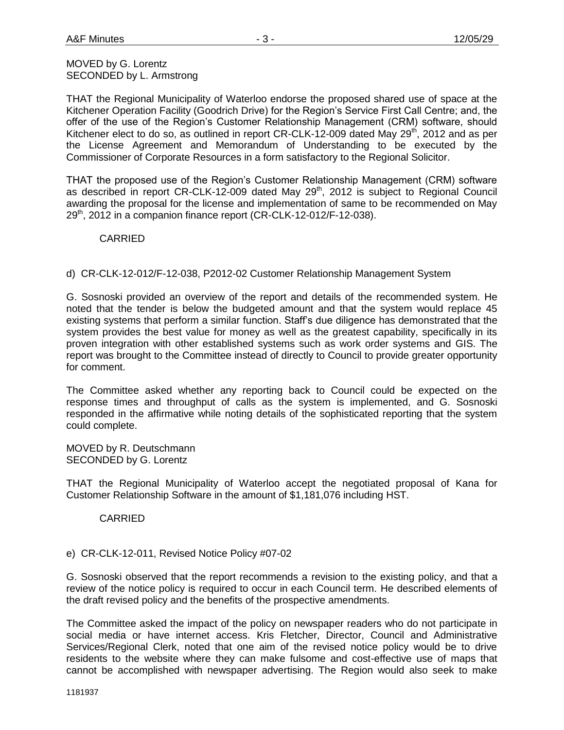#### MOVED by G. Lorentz SECONDED by L. Armstrong

THAT the Regional Municipality of Waterloo endorse the proposed shared use of space at the Kitchener Operation Facility (Goodrich Drive) for the Region's Service First Call Centre; and, the offer of the use of the Region's Customer Relationship Management (CRM) software, should Kitchener elect to do so, as outlined in report CR-CLK-12-009 dated May 29<sup>th</sup>, 2012 and as per the License Agreement and Memorandum of Understanding to be executed by the Commissioner of Corporate Resources in a form satisfactory to the Regional Solicitor.

THAT the proposed use of the Region's Customer Relationship Management (CRM) software as described in report CR-CLK-12-009 dated May 29<sup>th</sup>, 2012 is subject to Regional Council awarding the proposal for the license and implementation of same to be recommended on May  $29<sup>th</sup>$ , 2012 in a companion finance report (CR-CLK-12-012/F-12-038).

# CARRIED

d) CR-CLK-12-012/F-12-038, P2012-02 Customer Relationship Management System

G. Sosnoski provided an overview of the report and details of the recommended system. He noted that the tender is below the budgeted amount and that the system would replace 45 existing systems that perform a similar function. Staff's due diligence has demonstrated that the system provides the best value for money as well as the greatest capability, specifically in its proven integration with other established systems such as work order systems and GIS. The report was brought to the Committee instead of directly to Council to provide greater opportunity for comment.

The Committee asked whether any reporting back to Council could be expected on the response times and throughput of calls as the system is implemented, and G. Sosnoski responded in the affirmative while noting details of the sophisticated reporting that the system could complete.

MOVED by R. Deutschmann SECONDED by G. Lorentz

THAT the Regional Municipality of Waterloo accept the negotiated proposal of Kana for Customer Relationship Software in the amount of \$1,181,076 including HST.

CARRIED

## e) CR-CLK-12-011, Revised Notice Policy #07-02

G. Sosnoski observed that the report recommends a revision to the existing policy, and that a review of the notice policy is required to occur in each Council term. He described elements of the draft revised policy and the benefits of the prospective amendments.

The Committee asked the impact of the policy on newspaper readers who do not participate in social media or have internet access. Kris Fletcher, Director, Council and Administrative Services/Regional Clerk, noted that one aim of the revised notice policy would be to drive residents to the website where they can make fulsome and cost-effective use of maps that cannot be accomplished with newspaper advertising. The Region would also seek to make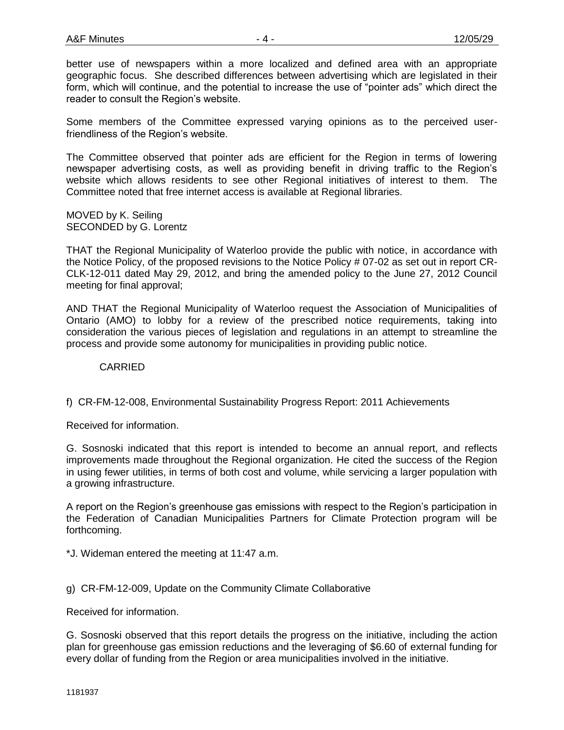better use of newspapers within a more localized and defined area with an appropriate geographic focus. She described differences between advertising which are legislated in their form, which will continue, and the potential to increase the use of "pointer ads" which direct the reader to consult the Region's website.

Some members of the Committee expressed varying opinions as to the perceived userfriendliness of the Region's website.

The Committee observed that pointer ads are efficient for the Region in terms of lowering newspaper advertising costs, as well as providing benefit in driving traffic to the Region's website which allows residents to see other Regional initiatives of interest to them. The Committee noted that free internet access is available at Regional libraries.

MOVED by K. Seiling SECONDED by G. Lorentz

THAT the Regional Municipality of Waterloo provide the public with notice, in accordance with the Notice Policy, of the proposed revisions to the Notice Policy # 07-02 as set out in report CR-CLK-12-011 dated May 29, 2012, and bring the amended policy to the June 27, 2012 Council meeting for final approval;

AND THAT the Regional Municipality of Waterloo request the Association of Municipalities of Ontario (AMO) to lobby for a review of the prescribed notice requirements, taking into consideration the various pieces of legislation and regulations in an attempt to streamline the process and provide some autonomy for municipalities in providing public notice.

CARRIED

f) CR-FM-12-008, Environmental Sustainability Progress Report: 2011 Achievements

Received for information.

G. Sosnoski indicated that this report is intended to become an annual report, and reflects improvements made throughout the Regional organization. He cited the success of the Region in using fewer utilities, in terms of both cost and volume, while servicing a larger population with a growing infrastructure.

A report on the Region's greenhouse gas emissions with respect to the Region's participation in the Federation of Canadian Municipalities Partners for Climate Protection program will be forthcoming.

\*J. Wideman entered the meeting at 11:47 a.m.

## g) CR-FM-12-009, Update on the Community Climate Collaborative

Received for information.

G. Sosnoski observed that this report details the progress on the initiative, including the action plan for greenhouse gas emission reductions and the leveraging of \$6.60 of external funding for every dollar of funding from the Region or area municipalities involved in the initiative.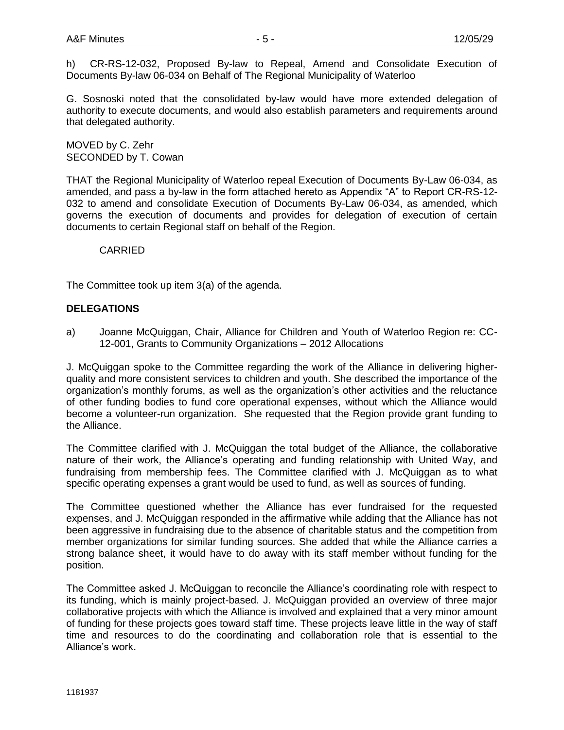h) CR-RS-12-032, Proposed By-law to Repeal, Amend and Consolidate Execution of Documents By-law 06-034 on Behalf of The Regional Municipality of Waterloo

G. Sosnoski noted that the consolidated by-law would have more extended delegation of authority to execute documents, and would also establish parameters and requirements around that delegated authority.

MOVED by C. Zehr SECONDED by T. Cowan

THAT the Regional Municipality of Waterloo repeal Execution of Documents By-Law 06-034, as amended, and pass a by-law in the form attached hereto as Appendix "A" to Report CR-RS-12- 032 to amend and consolidate Execution of Documents By-Law 06-034, as amended, which governs the execution of documents and provides for delegation of execution of certain documents to certain Regional staff on behalf of the Region.

CARRIED

The Committee took up item 3(a) of the agenda.

#### **DELEGATIONS**

a) Joanne McQuiggan, Chair, Alliance for Children and Youth of Waterloo Region re: CC-12-001, Grants to Community Organizations – 2012 Allocations

J. McQuiggan spoke to the Committee regarding the work of the Alliance in delivering higherquality and more consistent services to children and youth. She described the importance of the organization's monthly forums, as well as the organization's other activities and the reluctance of other funding bodies to fund core operational expenses, without which the Alliance would become a volunteer-run organization. She requested that the Region provide grant funding to the Alliance.

The Committee clarified with J. McQuiggan the total budget of the Alliance, the collaborative nature of their work, the Alliance's operating and funding relationship with United Way, and fundraising from membership fees. The Committee clarified with J. McQuiggan as to what specific operating expenses a grant would be used to fund, as well as sources of funding.

The Committee questioned whether the Alliance has ever fundraised for the requested expenses, and J. McQuiggan responded in the affirmative while adding that the Alliance has not been aggressive in fundraising due to the absence of charitable status and the competition from member organizations for similar funding sources. She added that while the Alliance carries a strong balance sheet, it would have to do away with its staff member without funding for the position.

The Committee asked J. McQuiggan to reconcile the Alliance's coordinating role with respect to its funding, which is mainly project-based. J. McQuiggan provided an overview of three major collaborative projects with which the Alliance is involved and explained that a very minor amount of funding for these projects goes toward staff time. These projects leave little in the way of staff time and resources to do the coordinating and collaboration role that is essential to the Alliance's work.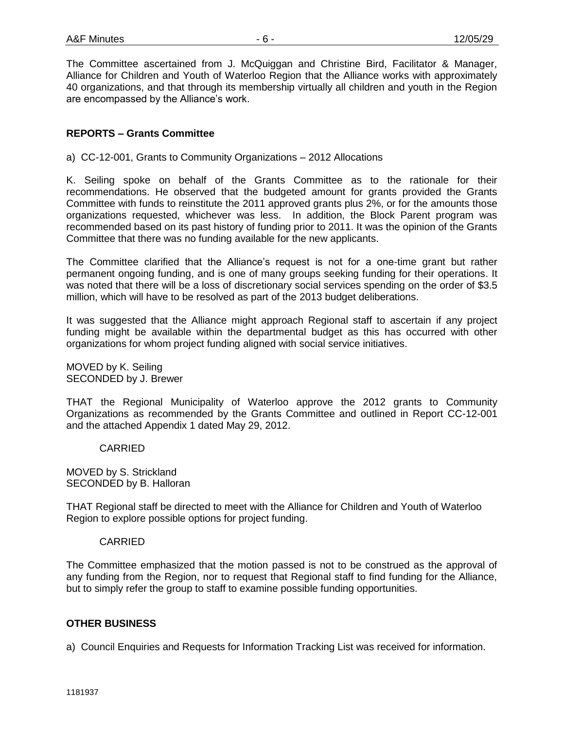The Committee ascertained from J. McQuiggan and Christine Bird, Facilitator & Manager, Alliance for Children and Youth of Waterloo Region that the Alliance works with approximately 40 organizations, and that through its membership virtually all children and youth in the Region are encompassed by the Alliance's work.

## **REPORTS – Grants Committee**

a) CC-12-001, Grants to Community Organizations – 2012 Allocations

K. Seiling spoke on behalf of the Grants Committee as to the rationale for their recommendations. He observed that the budgeted amount for grants provided the Grants Committee with funds to reinstitute the 2011 approved grants plus 2%, or for the amounts those organizations requested, whichever was less. In addition, the Block Parent program was recommended based on its past history of funding prior to 2011. It was the opinion of the Grants Committee that there was no funding available for the new applicants.

The Committee clarified that the Alliance's request is not for a one-time grant but rather permanent ongoing funding, and is one of many groups seeking funding for their operations. It was noted that there will be a loss of discretionary social services spending on the order of \$3.5 million, which will have to be resolved as part of the 2013 budget deliberations.

It was suggested that the Alliance might approach Regional staff to ascertain if any project funding might be available within the departmental budget as this has occurred with other organizations for whom project funding aligned with social service initiatives.

MOVED by K. Seiling SECONDED by J. Brewer

THAT the Regional Municipality of Waterloo approve the 2012 grants to Community Organizations as recommended by the Grants Committee and outlined in Report CC-12-001 and the attached Appendix 1 dated May 29, 2012.

CARRIED

MOVED by S. Strickland SECONDED by B. Halloran

THAT Regional staff be directed to meet with the Alliance for Children and Youth of Waterloo Region to explore possible options for project funding.

#### CARRIED

The Committee emphasized that the motion passed is not to be construed as the approval of any funding from the Region, nor to request that Regional staff to find funding for the Alliance, but to simply refer the group to staff to examine possible funding opportunities.

#### **OTHER BUSINESS**

a) Council Enquiries and Requests for Information Tracking List was received for information.